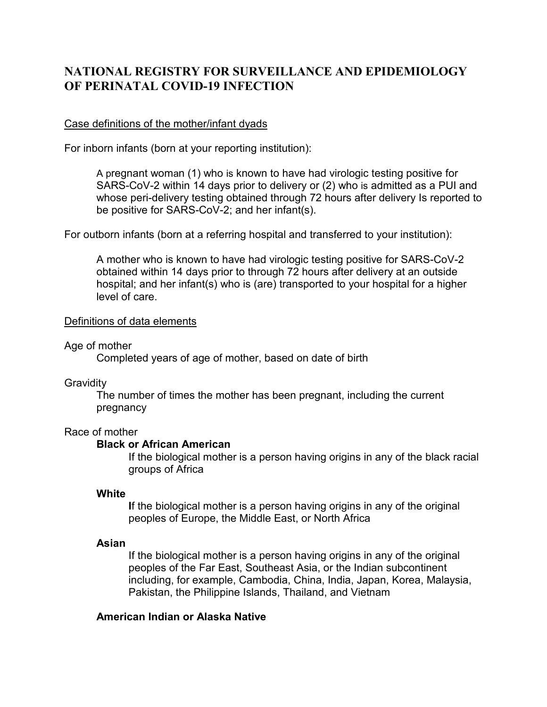# **NATIONAL REGISTRY FOR SURVEILLANCE AND EPIDEMIOLOGY OF PERINATAL COVID-19 INFECTION**

## Case definitions of the mother/infant dyads

For inborn infants (born at your reporting institution):

A pregnant woman (1) who is known to have had virologic testing positive for SARS-CoV-2 within 14 days prior to delivery or (2) who is admitted as a PUI and whose peri-delivery testing obtained through 72 hours after delivery Is reported to be positive for SARS-CoV-2; and her infant(s).

For outborn infants (born at a referring hospital and transferred to your institution):

A mother who is known to have had virologic testing positive for SARS-CoV-2 obtained within 14 days prior to through 72 hours after delivery at an outside hospital; and her infant(s) who is (are) transported to your hospital for a higher level of care.

## Definitions of data elements

## Age of mother

Completed years of age of mother, based on date of birth

## **Gravidity**

The number of times the mother has been pregnant, including the current pregnancy

# Race of mother

## **Black or African American**

If the biological mother is a person having origins in any of the black racial groups of Africa

# **White**

**I**f the biological mother is a person having origins in any of the original peoples of Europe, the Middle East, or North Africa

# **Asian**

If the biological mother is a person having origins in any of the original peoples of the Far East, Southeast Asia, or the Indian subcontinent including, for example, Cambodia, China, India, Japan, Korea, Malaysia, Pakistan, the Philippine Islands, Thailand, and Vietnam

# **American Indian or Alaska Native**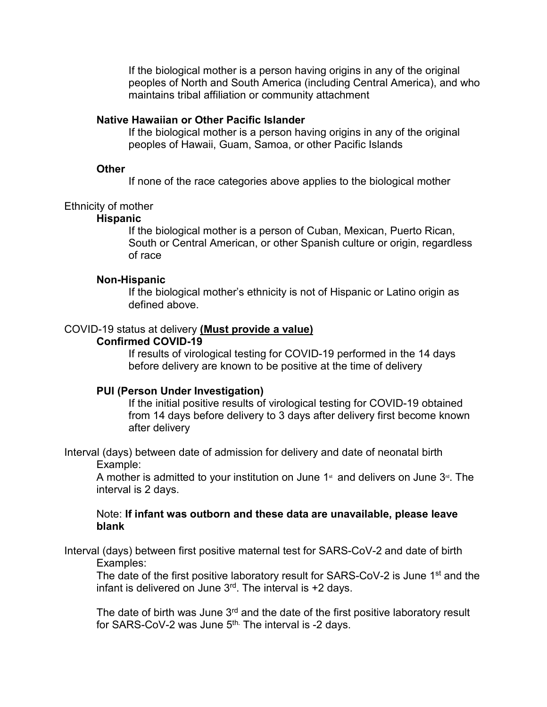If the biological mother is a person having origins in any of the original peoples of North and South America (including Central America), and who maintains tribal affiliation or community attachment

## **Native Hawaiian or Other Pacific Islander**

If the biological mother is a person having origins in any of the original peoples of Hawaii, Guam, Samoa, or other Pacific Islands

#### **Other**

If none of the race categories above applies to the biological mother

## Ethnicity of mother

## **Hispanic**

If the biological mother is a person of Cuban, Mexican, Puerto Rican, South or Central American, or other Spanish culture or origin, regardless of race

#### **Non-Hispanic**

If the biological mother's ethnicity is not of Hispanic or Latino origin as defined above.

#### COVID-19 status at delivery **(Must provide a value)**

#### **Confirmed COVID-19**

If results of virological testing for COVID-19 performed in the 14 days before delivery are known to be positive at the time of delivery

## **PUI (Person Under Investigation)**

If the initial positive results of virological testing for COVID-19 obtained from 14 days before delivery to 3 days after delivery first become known after delivery

Interval (days) between date of admission for delivery and date of neonatal birth Example:

A mother is admitted to your institution on June  $1<sup>*</sup>$  and delivers on June  $3<sup>rd</sup>$ . The interval is 2 days.

## Note: **If infant was outborn and these data are unavailable, please leave blank**

Interval (days) between first positive maternal test for SARS-CoV-2 and date of birth Examples:

The date of the first positive laboratory result for SARS-CoV-2 is June 1<sup>st</sup> and the infant is delivered on June  $3<sup>rd</sup>$ . The interval is +2 days.

The date of birth was June  $3<sup>rd</sup>$  and the date of the first positive laboratory result for SARS-CoV-2 was June 5<sup>th.</sup> The interval is -2 days.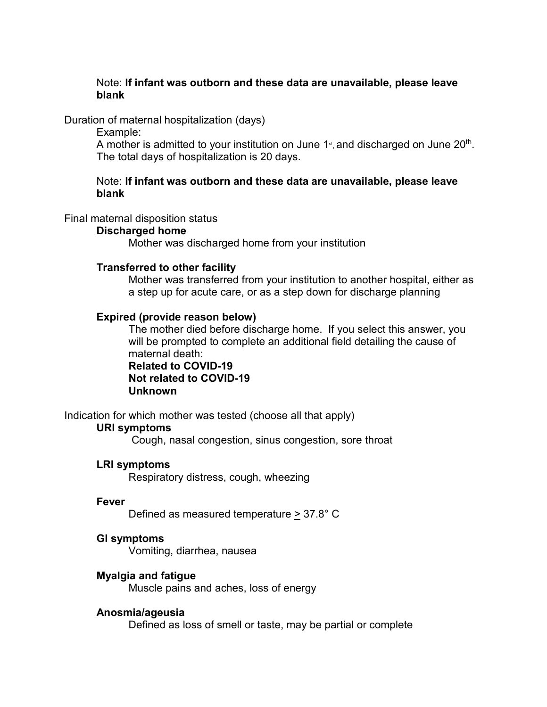# Note: **If infant was outborn and these data are unavailable, please leave blank**

## Duration of maternal hospitalization (days)

Example:

A mother is admitted to your institution on June 1<sup>st</sup>, and discharged on June 20<sup>th</sup>. The total days of hospitalization is 20 days.

## Note: **If infant was outborn and these data are unavailable, please leave blank**

## Final maternal disposition status

## **Discharged home**

Mother was discharged home from your institution

## **Transferred to other facility**

Mother was transferred from your institution to another hospital, either as a step up for acute care, or as a step down for discharge planning

## **Expired (provide reason below)**

The mother died before discharge home. If you select this answer, you will be prompted to complete an additional field detailing the cause of maternal death: **Related to COVID-19**

# **Not related to COVID-19 Unknown**

Indication for which mother was tested (choose all that apply)

## **URI symptoms**

Cough, nasal congestion, sinus congestion, sore throat

# **LRI symptoms**

Respiratory distress, cough, wheezing

## **Fever**

Defined as measured temperature > 37.8° C

## **GI symptoms**

Vomiting, diarrhea, nausea

# **Myalgia and fatigue**

Muscle pains and aches, loss of energy

## **Anosmia/ageusia**

Defined as loss of smell or taste, may be partial or complete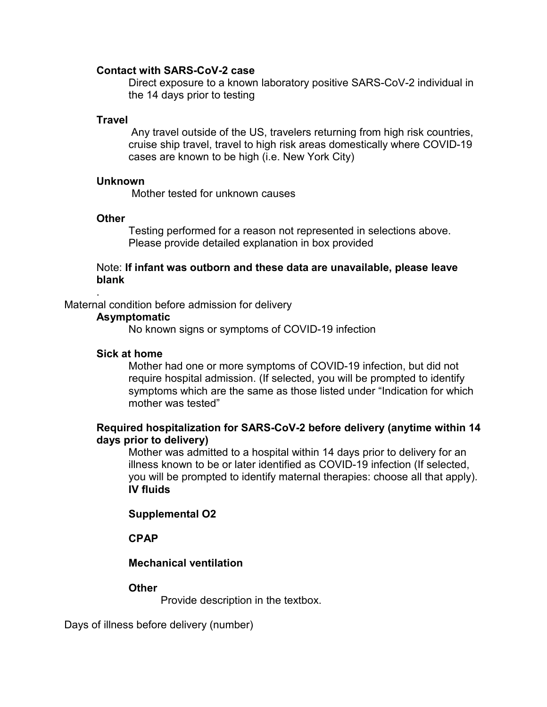#### **Contact with SARS-CoV-2 case**

Direct exposure to a known laboratory positive SARS-CoV-2 individual in the 14 days prior to testing

## **Travel**

Any travel outside of the US, travelers returning from high risk countries, cruise ship travel, travel to high risk areas domestically where COVID-19 cases are known to be high (i.e. New York City)

#### **Unknown**

Mother tested for unknown causes

## **Other**

.

Testing performed for a reason not represented in selections above. Please provide detailed explanation in box provided

## Note: **If infant was outborn and these data are unavailable, please leave blank**

#### Maternal condition before admission for delivery

#### **Asymptomatic**

No known signs or symptoms of COVID-19 infection

#### **Sick at home**

Mother had one or more symptoms of COVID-19 infection, but did not require hospital admission. (If selected, you will be prompted to identify symptoms which are the same as those listed under "Indication for which mother was tested"

## **Required hospitalization for SARS-CoV-2 before delivery (anytime within 14 days prior to delivery)**

Mother was admitted to a hospital within 14 days prior to delivery for an illness known to be or later identified as COVID-19 infection (If selected, you will be prompted to identify maternal therapies: choose all that apply). **IV fluids**

## **Supplemental O2**

## **CPAP**

## **Mechanical ventilation**

## **Other**

Provide description in the textbox.

Days of illness before delivery (number)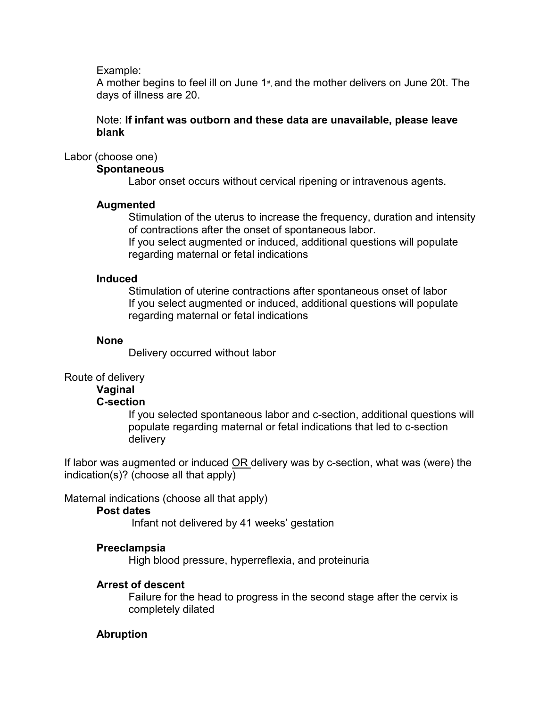Example:

A mother begins to feel ill on June  $1<sub>st</sub>$ , and the mother delivers on June 20t. The days of illness are 20.

# Note: **If infant was outborn and these data are unavailable, please leave blank**

# Labor (choose one)

# **Spontaneous**

Labor onset occurs without cervical ripening or intravenous agents.

# **Augmented**

Stimulation of the uterus to increase the frequency, duration and intensity of contractions after the onset of spontaneous labor.

If you select augmented or induced, additional questions will populate regarding maternal or fetal indications

# **Induced**

Stimulation of uterine contractions after spontaneous onset of labor If you select augmented or induced, additional questions will populate regarding maternal or fetal indications

# **None**

Delivery occurred without labor

# Route of delivery

# **Vaginal**

# **C-section**

If you selected spontaneous labor and c-section, additional questions will populate regarding maternal or fetal indications that led to c-section delivery

If labor was augmented or induced OR delivery was by c-section, what was (were) the indication(s)? (choose all that apply)

Maternal indications (choose all that apply)

# **Post dates**

Infant not delivered by 41 weeks' gestation

# **Preeclampsia**

High blood pressure, hyperreflexia, and proteinuria

# **Arrest of descent**

Failure for the head to progress in the second stage after the cervix is completely dilated

# **Abruption**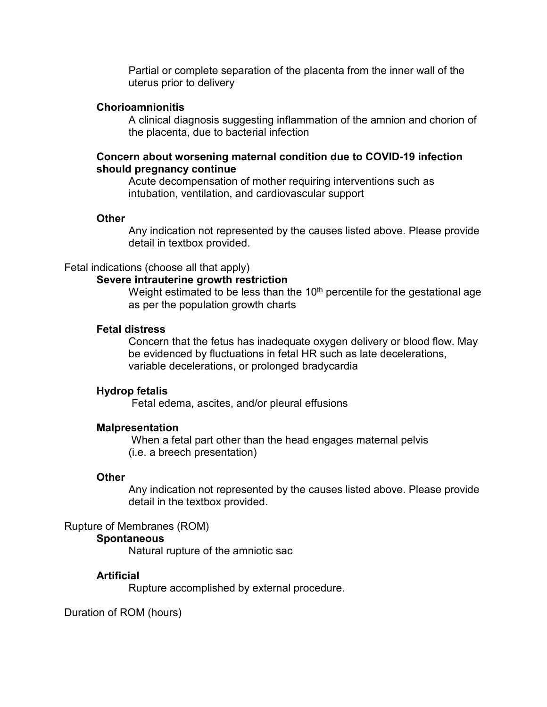Partial or complete separation of the placenta from the inner wall of the uterus prior to delivery

#### **Chorioamnionitis**

A clinical diagnosis suggesting inflammation of the amnion and chorion of the placenta, due to bacterial infection

## **Concern about worsening maternal condition due to COVID-19 infection should pregnancy continue**

Acute decompensation of mother requiring interventions such as intubation, ventilation, and cardiovascular support

#### **Other**

Any indication not represented by the causes listed above. Please provide detail in textbox provided.

#### Fetal indications (choose all that apply)

#### **Severe intrauterine growth restriction**

Weight estimated to be less than the  $10<sup>th</sup>$  percentile for the gestational age as per the population growth charts

## **Fetal distress**

Concern that the fetus has inadequate oxygen delivery or blood flow. May be evidenced by fluctuations in fetal HR such as late decelerations, variable decelerations, or prolonged bradycardia

#### **Hydrop fetalis**

Fetal edema, ascites, and/or pleural effusions

#### **Malpresentation**

When a fetal part other than the head engages maternal pelvis (i.e. a breech presentation)

#### **Other**

Any indication not represented by the causes listed above. Please provide detail in the textbox provided.

## Rupture of Membranes (ROM)

#### **Spontaneous**

Natural rupture of the amniotic sac

#### **Artificial**

Rupture accomplished by external procedure.

Duration of ROM (hours)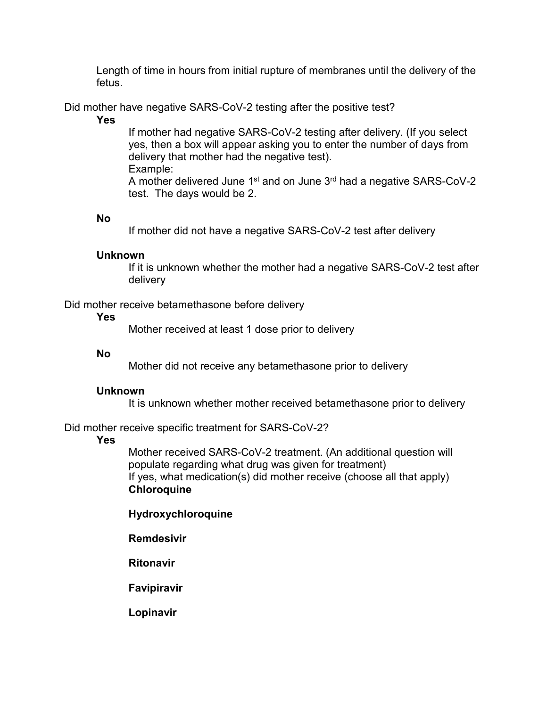Length of time in hours from initial rupture of membranes until the delivery of the fetus.

Did mother have negative SARS-CoV-2 testing after the positive test?

## **Yes**

If mother had negative SARS-CoV-2 testing after delivery. (If you select yes, then a box will appear asking you to enter the number of days from delivery that mother had the negative test). Example:

A mother delivered June  $1<sup>st</sup>$  and on June  $3<sup>rd</sup>$  had a negative SARS-CoV-2 test. The days would be 2.

## **No**

If mother did not have a negative SARS-CoV-2 test after delivery

## **Unknown**

If it is unknown whether the mother had a negative SARS-CoV-2 test after delivery

Did mother receive betamethasone before delivery

## **Yes**

Mother received at least 1 dose prior to delivery

## **No**

Mother did not receive any betamethasone prior to delivery

# **Unknown**

It is unknown whether mother received betamethasone prior to delivery

Did mother receive specific treatment for SARS-CoV-2?

# **Yes**

Mother received SARS-CoV-2 treatment. (An additional question will populate regarding what drug was given for treatment) If yes, what medication(s) did mother receive (choose all that apply) **Chloroquine**

# **Hydroxychloroquine**

# **Remdesivir**

**Ritonavir**

**Favipiravir**

**Lopinavir**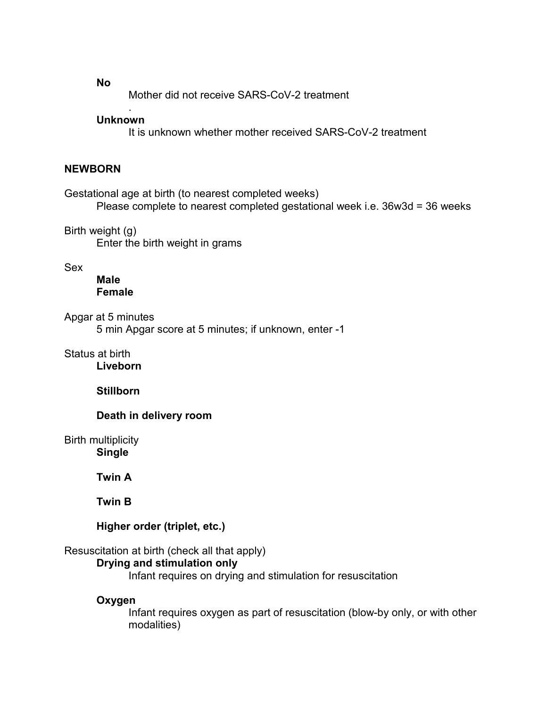**No**

Mother did not receive SARS-CoV-2 treatment

#### . **Unknown**

It is unknown whether mother received SARS-CoV-2 treatment

## **NEWBORN**

Gestational age at birth (to nearest completed weeks) Please complete to nearest completed gestational week i.e. 36w3d = 36 weeks

Birth weight (g) Enter the birth weight in grams

Sex

**Male Female**

Apgar at 5 minutes

5 min Apgar score at 5 minutes; if unknown, enter -1

Status at birth **Liveborn**

**Stillborn**

## **Death in delivery room**

Birth multiplicity **Single**

**Twin A**

**Twin B**

**Higher order (triplet, etc.)**

## Resuscitation at birth (check all that apply)

# **Drying and stimulation only**

Infant requires on drying and stimulation for resuscitation

## **Oxygen**

Infant requires oxygen as part of resuscitation (blow-by only, or with other modalities)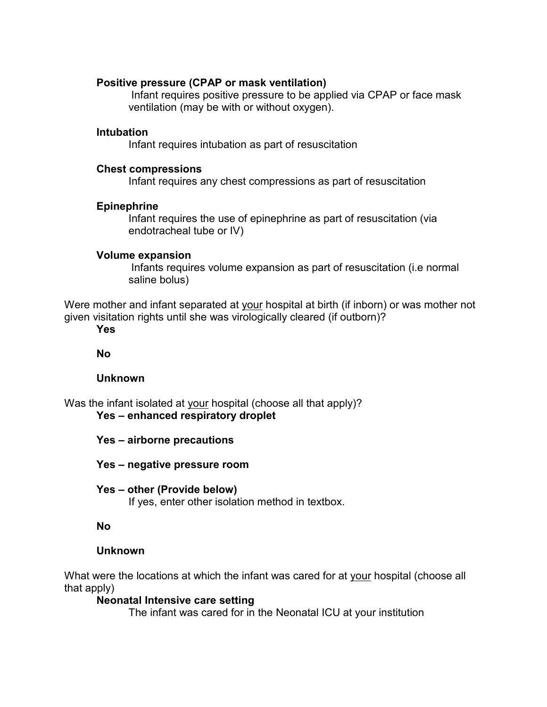## **Positive pressure (CPAP or mask ventilation)**

Infant requires positive pressure to be applied via CPAP or face mask ventilation (may be with or without oxygen).

## **Intubation**

Infant requires intubation as part of resuscitation

## **Chest compressions**

Infant requires any chest compressions as part of resuscitation

## **Epinephrine**

Infant requires the use of epinephrine as part of resuscitation (via endotracheal tube or IV)

## **Volume expansion**

Infants requires volume expansion as part of resuscitation (i.e normal saline bolus)

Were mother and infant separated at your hospital at birth (if inborn) or was mother not given visitation rights until she was virologically cleared (if outborn)?

**Yes**

**No**

# **Unknown**

Was the infant isolated at your hospital (choose all that apply)? **Yes – enhanced respiratory droplet**

- **Yes airborne precautions**
- **Yes negative pressure room**
- **Yes other (Provide below)**

If yes, enter other isolation method in textbox.

# **No**

# **Unknown**

What were the locations at which the infant was cared for at your hospital (choose all that apply)

# **Neonatal Intensive care setting**

The infant was cared for in the Neonatal ICU at your institution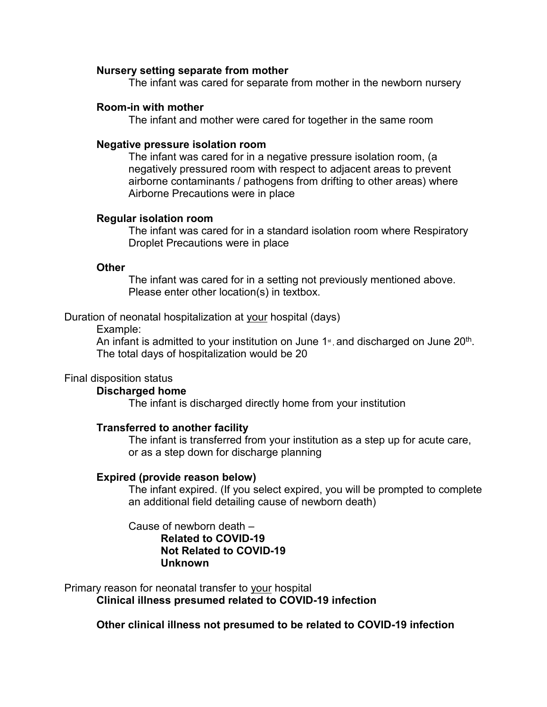#### **Nursery setting separate from mother**

The infant was cared for separate from mother in the newborn nursery

#### **Room-in with mother**

The infant and mother were cared for together in the same room

#### **Negative pressure isolation room**

The infant was cared for in a negative pressure isolation room, (a negatively pressured room with respect to adjacent areas to prevent airborne contaminants / pathogens from drifting to other areas) where Airborne Precautions were in place

## **Regular isolation room**

The infant was cared for in a standard isolation room where Respiratory Droplet Precautions were in place

#### **Other**

The infant was cared for in a setting not previously mentioned above. Please enter other location(s) in textbox.

#### Duration of neonatal hospitalization at your hospital (days)

Example:

An infant is admitted to your institution on June 1 $\mathrm{N}_{\mathrm{S}}$  and discharged on June 20<sup>th</sup>. The total days of hospitalization would be 20

# Final disposition status

#### **Discharged home**

The infant is discharged directly home from your institution

## **Transferred to another facility**

The infant is transferred from your institution as a step up for acute care, or as a step down for discharge planning

## **Expired (provide reason below)**

The infant expired. (If you select expired, you will be prompted to complete an additional field detailing cause of newborn death)

## Cause of newborn death – **Related to COVID-19 Not Related to COVID-19 Unknown**

Primary reason for neonatal transfer to your hospital **Clinical illness presumed related to COVID-19 infection**

**Other clinical illness not presumed to be related to COVID-19 infection**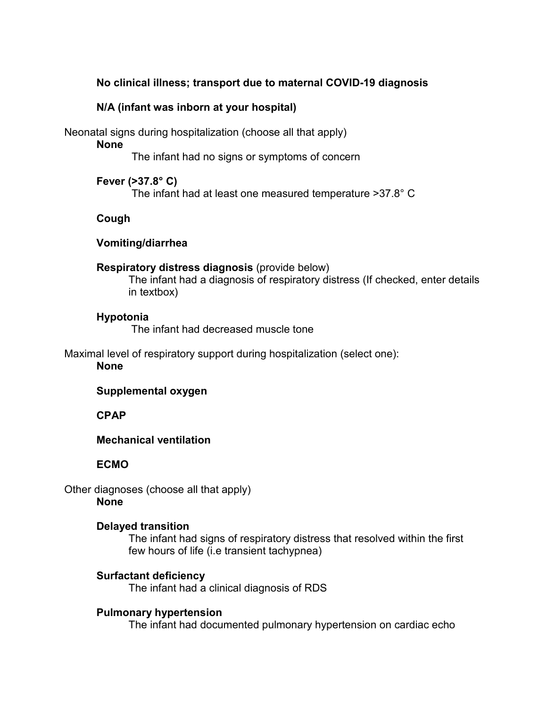# **No clinical illness; transport due to maternal COVID-19 diagnosis**

## **N/A (infant was inborn at your hospital)**

Neonatal signs during hospitalization (choose all that apply)

# **None**

The infant had no signs or symptoms of concern

**Fever (>37.8° C)**

The infant had at least one measured temperature >37.8° C

# **Cough**

# **Vomiting/diarrhea**

## **Respiratory distress diagnosis** (provide below)

The infant had a diagnosis of respiratory distress (If checked, enter details in textbox)

## **Hypotonia**

The infant had decreased muscle tone

Maximal level of respiratory support during hospitalization (select one):

## **None**

# **Supplemental oxygen**

# **CPAP**

# **Mechanical ventilation**

# **ECMO**

Other diagnoses (choose all that apply) **None**

# **Delayed transition**

The infant had signs of respiratory distress that resolved within the first few hours of life (i.e transient tachypnea)

# **Surfactant deficiency**

The infant had a clinical diagnosis of RDS

# **Pulmonary hypertension**

The infant had documented pulmonary hypertension on cardiac echo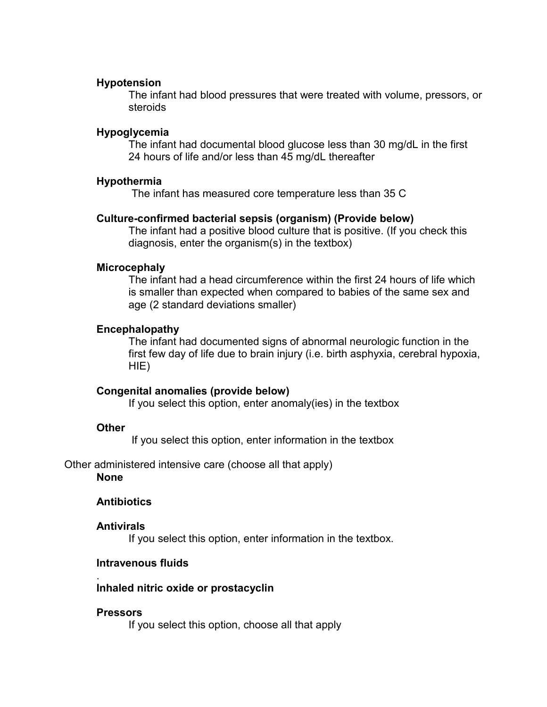#### **Hypotension**

The infant had blood pressures that were treated with volume, pressors, or steroids

#### **Hypoglycemia**

The infant had documental blood glucose less than 30 mg/dL in the first 24 hours of life and/or less than 45 mg/dL thereafter

# **Hypothermia**

The infant has measured core temperature less than 35 C

#### **Culture-confirmed bacterial sepsis (organism) (Provide below)**

The infant had a positive blood culture that is positive. (If you check this diagnosis, enter the organism(s) in the textbox)

#### **Microcephaly**

The infant had a head circumference within the first 24 hours of life which is smaller than expected when compared to babies of the same sex and age (2 standard deviations smaller)

#### **Encephalopathy**

The infant had documented signs of abnormal neurologic function in the first few day of life due to brain injury (i.e. birth asphyxia, cerebral hypoxia, HIE)

## **Congenital anomalies (provide below)**

If you select this option, enter anomaly(ies) in the textbox

#### **Other**

If you select this option, enter information in the textbox

Other administered intensive care (choose all that apply) **None**

## **Antibiotics**

#### **Antivirals**

If you select this option, enter information in the textbox.

#### **Intravenous fluids**

#### **Inhaled nitric oxide or prostacyclin**

#### **Pressors**

.

If you select this option, choose all that apply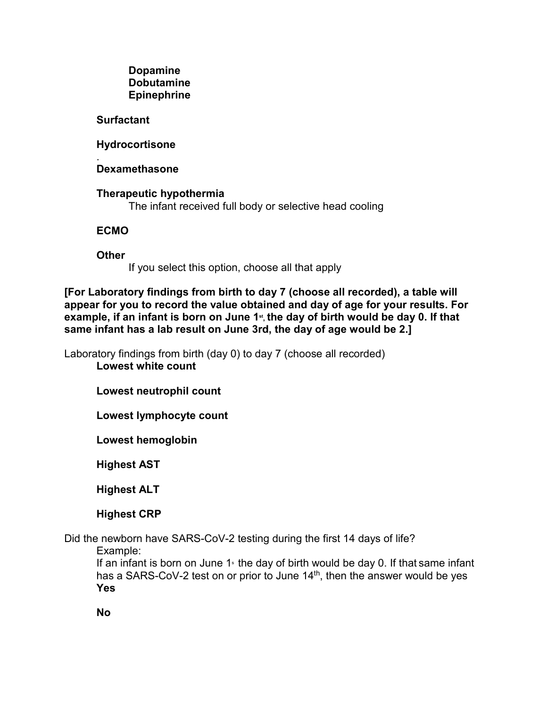## **Dopamine Dobutamine Epinephrine**

# **Surfactant**

# **Hydrocortisone**

#### . **Dexamethasone**

**Therapeutic hypothermia** The infant received full body or selective head cooling

# **ECMO**

**Other**

If you select this option, choose all that apply

**[For Laboratory findings from birth to day 7 (choose all recorded), a table will appear for you to record the value obtained and day of age for your results. For**  example, if an infant is born on June 1<sup>st</sup>, the day of birth would be day 0. If that **same infant has a lab result on June 3rd, the day of age would be 2.]**

Laboratory findings from birth (day 0) to day 7 (choose all recorded) **Lowest white count**

**Lowest neutrophil count**

**Lowest lymphocyte count**

**Lowest hemoglobin**

**Highest AST**

**Highest ALT**

**Highest CRP**

Did the newborn have SARS-CoV-2 testing during the first 14 days of life? Example:

If an infant is born on June 1 $\,$  the day of birth would be day 0. If that same infant has a SARS-CoV-2 test on or prior to June 14<sup>th</sup>, then the answer would be yes **Yes**

**No**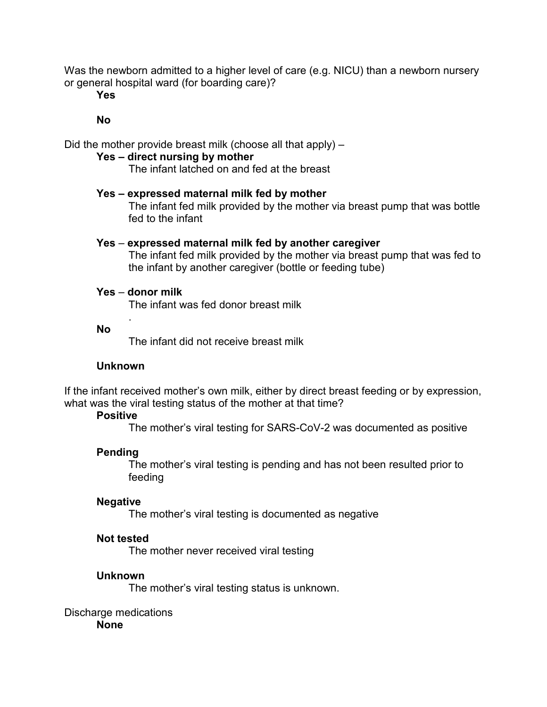Was the newborn admitted to a higher level of care (e.g. NICU) than a newborn nursery or general hospital ward (for boarding care)?

**Yes**

**No**

Did the mother provide breast milk (choose all that apply) –

## **Yes – direct nursing by mother**

The infant latched on and fed at the breast

#### **Yes – expressed maternal milk fed by mother**

The infant fed milk provided by the mother via breast pump that was bottle fed to the infant

#### **Yes** – **expressed maternal milk fed by another caregiver**

The infant fed milk provided by the mother via breast pump that was fed to the infant by another caregiver (bottle or feeding tube)

## **Yes** – **donor milk**

.

The infant was fed donor breast milk

#### **No**

The infant did not receive breast milk

#### **Unknown**

If the infant received mother's own milk, either by direct breast feeding or by expression, what was the viral testing status of the mother at that time?

#### **Positive**

The mother's viral testing for SARS-CoV-2 was documented as positive

## **Pending**

The mother's viral testing is pending and has not been resulted prior to feeding

#### **Negative**

The mother's viral testing is documented as negative

#### **Not tested**

The mother never received viral testing

#### **Unknown**

The mother's viral testing status is unknown.

#### Discharge medications

**None**